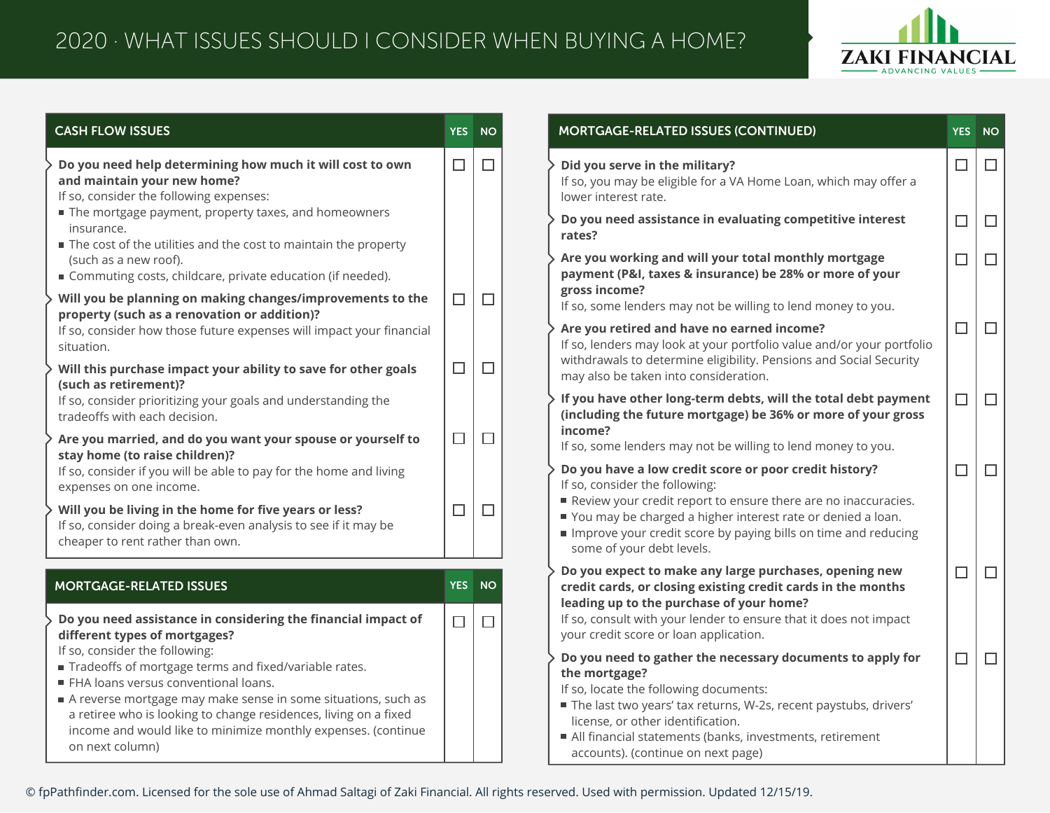

| <b>CASH FLOW ISSUES</b>                                                                                                                                                                            | <b>YES</b> | <b>NO</b> | MORTGAGE-RELATED ISSUES (CONTINUED)                                                                                                                                                                         | YES <sup>1</sup> | <b>NO</b> |
|----------------------------------------------------------------------------------------------------------------------------------------------------------------------------------------------------|------------|-----------|-------------------------------------------------------------------------------------------------------------------------------------------------------------------------------------------------------------|------------------|-----------|
| Do you need help determining how much it will cost to own<br>and maintain your new home?<br>If so, consider the following expenses:                                                                | $\Box$     | $\Box$    | Did you serve in the military?<br>If so, you may be eligible for a VA Home Loan, which may offer a<br>lower interest rate.                                                                                  | □                | $\Box$    |
| The mortgage payment, property taxes, and homeowners<br>insurance.<br>The cost of the utilities and the cost to maintain the property                                                              |            |           | Do you need assistance in evaluating competitive interest<br>rates?                                                                                                                                         | $\Box$           | $\Box$    |
| (such as a new roof).<br>■ Commuting costs, childcare, private education (if needed).                                                                                                              |            |           | Are you working and will your total monthly mortgage<br>payment (P&I, taxes & insurance) be 28% or more of your                                                                                             | $\Box$           | $\Box$    |
| Will you be planning on making changes/improvements to the<br>property (such as a renovation or addition)?                                                                                         | $\Box$     | $\Box$    | gross income?<br>If so, some lenders may not be willing to lend money to you.                                                                                                                               |                  |           |
| If so, consider how those future expenses will impact your financial<br>situation.                                                                                                                 |            |           | Are you retired and have no earned income?<br>If so, lenders may look at your portfolio value and/or your portfolio                                                                                         | $\Box$           | $\Box$    |
| Will this purchase impact your ability to save for other goals<br>(such as retirement)?                                                                                                            | $\Box$     | $\Box$    | withdrawals to determine eligibility. Pensions and Social Security<br>may also be taken into consideration.                                                                                                 |                  |           |
| If so, consider prioritizing your goals and understanding the<br>tradeoffs with each decision.                                                                                                     |            |           | If you have other long-term debts, will the total debt payment<br>(including the future mortgage) be 36% or more of your gross<br>income?                                                                   | $\Box$           | $\Box$    |
| Are you married, and do you want your spouse or yourself to<br>stay home (to raise children)?                                                                                                      | $\Box$     | $\Box$    | If so, some lenders may not be willing to lend money to you.                                                                                                                                                |                  |           |
| If so, consider if you will be able to pay for the home and living<br>expenses on one income.                                                                                                      |            |           | Do you have a low credit score or poor credit history?<br>If so, consider the following:<br>Review your credit report to ensure there are no inaccuracies.                                                  | $\Box$           | $\Box$    |
| Will you be living in the home for five years or less?<br>If so, consider doing a break-even analysis to see if it may be<br>cheaper to rent rather than own.                                      | $\Box$     | $\Box$    | ■ You may be charged a higher interest rate or denied a loan.<br>Improve your credit score by paying bills on time and reducing<br>some of your debt levels.                                                |                  |           |
| <b>MORTGAGE-RELATED ISSUES</b>                                                                                                                                                                     | <b>YES</b> | <b>NO</b> | Do you expect to make any large purchases, opening new<br>credit cards, or closing existing credit cards in the months                                                                                      | $\Box$           | $\Box$    |
| Do you need assistance in considering the financial impact of<br>different types of mortgages?                                                                                                     | $\Box$     | $\Box$    | leading up to the purchase of your home?<br>If so, consult with your lender to ensure that it does not impact<br>your credit score or loan application.                                                     |                  |           |
| If so, consider the following:<br>Tradeoffs of mortgage terms and fixed/variable rates.<br>FHA loans versus conventional loans.                                                                    |            |           | Do you need to gather the necessary documents to apply for<br>the mortgage?                                                                                                                                 | $\Box$           | $\Box$    |
| A reverse mortgage may make sense in some situations, such as<br>a retiree who is looking to change residences, living on a fixed<br>income and would like to minimize monthly expenses. (continue |            |           | If so, locate the following documents:<br>The last two years' tax returns, W-2s, recent paystubs, drivers'<br>license, or other identification.<br>All financial statements (banks, investments, retirement |                  |           |
| on next column)                                                                                                                                                                                    |            |           | accounts). (continue on next page)                                                                                                                                                                          |                  |           |

© fpPathfinder.com. Licensed for the sole use of Ahmad Saltagi of Zaki Financial. All rights reserved. Used with permission. Updated 12/15/19.